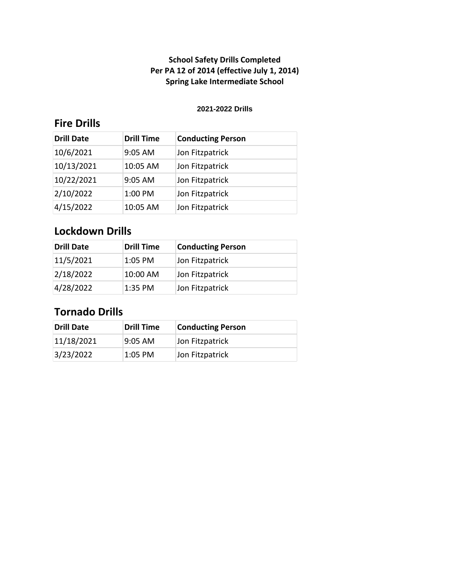#### **2021-2022 Drills**

## **Fire Drills**

| <b>Drill Date</b> | <b>Drill Time</b> | <b>Conducting Person</b> |
|-------------------|-------------------|--------------------------|
| 10/6/2021         | 9:05 AM           | Jon Fitzpatrick          |
| 10/13/2021        | 10:05 AM          | Jon Fitzpatrick          |
| 10/22/2021        | 9:05 AM           | Jon Fitzpatrick          |
| 2/10/2022         | 1:00 PM           | Jon Fitzpatrick          |
| 4/15/2022         | 10:05 AM          | Jon Fitzpatrick          |

## **Lockdown Drills**

| <b>Drill Date</b> | Drill Time | <b>Conducting Person</b> |
|-------------------|------------|--------------------------|
| 11/5/2021         | $1:05$ PM  | Jon Fitzpatrick          |
| 2/18/2022         | 10:00 AM   | Jon Fitzpatrick          |
| 4/28/2022         | 1:35 PM    | Jon Fitzpatrick          |

| Drill Date | Drill Time | <b>Conducting Person</b> |
|------------|------------|--------------------------|
| 11/18/2021 | 9:05 AM    | Jon Fitzpatrick          |
| 3/23/2022  | 1:05 PM    | Jon Fitzpatrick          |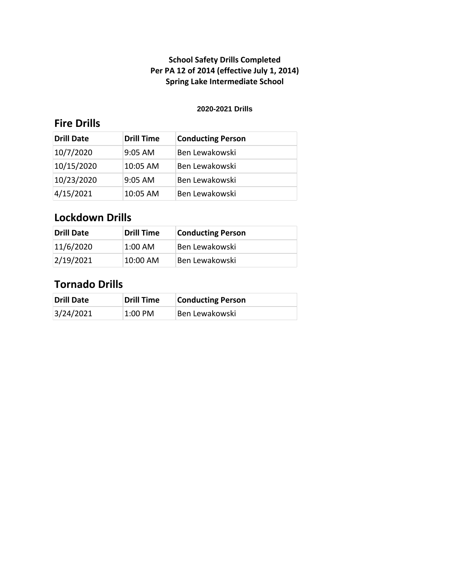#### **2020-2021 Drills**

## **Fire Drills**

| <b>Drill Date</b> | <b>Drill Time</b> | <b>Conducting Person</b> |
|-------------------|-------------------|--------------------------|
| 10/7/2020         | $9:05$ AM         | Ben Lewakowski           |
| 10/15/2020        | 10:05 AM          | Ben Lewakowski           |
| 10/23/2020        | $9:05$ AM         | Ben Lewakowski           |
| 4/15/2021         | 10:05 AM          | Ben Lewakowski           |

### **Lockdown Drills**

| Drill Date | <b>Drill Time</b> | <b>Conducting Person</b> |
|------------|-------------------|--------------------------|
| 11/6/2020  | $1:00$ AM         | Ben Lewakowski           |
| 2/19/2021  | $10:00$ AM        | Ben Lewakowski           |

| <b>Drill Date</b> | <b>Drill Time</b> | <b>Conducting Person</b> |
|-------------------|-------------------|--------------------------|
| 3/24/2021         | 1:00 PM           | Ben Lewakowski           |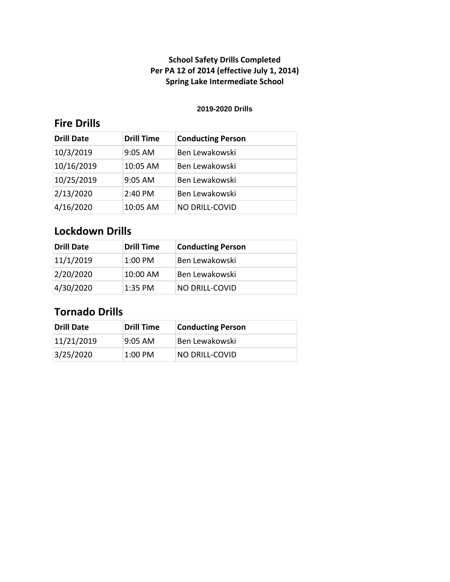#### **2019-2020 Drills**

## **Fire Drills**

| <b>Drill Date</b> | <b>Drill Time</b> | <b>Conducting Person</b> |
|-------------------|-------------------|--------------------------|
| 10/3/2019         | $9:05$ AM         | Ben Lewakowski           |
| 10/16/2019        | 10:05 AM          | Ben Lewakowski           |
| 10/25/2019        | $9:05$ AM         | Ben Lewakowski           |
| 2/13/2020         | 2:40 PM           | Ben Lewakowski           |
| 4/16/2020         | 10:05 AM          | <b>NO DRILL-COVID</b>    |

## **Lockdown Drills**

| <b>Drill Date</b> | Drill Time | <b>Conducting Person</b> |
|-------------------|------------|--------------------------|
| 11/1/2019         | $1:00$ PM  | Ben Lewakowski           |
| 2/20/2020         | 10:00 AM   | Ben Lewakowski           |
| 4/30/2020         | 1:35 PM    | <b>NO DRILL-COVID</b>    |

| Drill Date | <b>Drill Time</b>   | <b>Conducting Person</b> |
|------------|---------------------|--------------------------|
| 11/21/2019 | $9:05 \, \text{AM}$ | Ben Lewakowski           |
| 3/25/2020  | 1:00 PM             | NO DRILL-COVID           |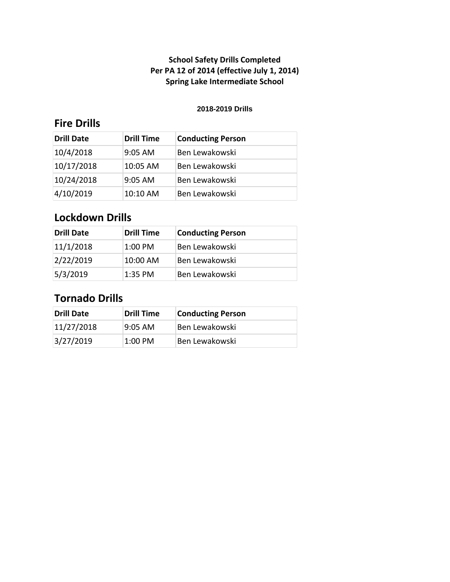#### **2018-2019 Drills**

## **Fire Drills**

| <b>Drill Date</b> | <b>Drill Time</b> | <b>Conducting Person</b> |
|-------------------|-------------------|--------------------------|
| 10/4/2018         | $9:05$ AM         | Ben Lewakowski           |
| 10/17/2018        | $10:05$ AM        | Ben Lewakowski           |
| 10/24/2018        | $9:05$ AM         | Ben Lewakowski           |
| 4/10/2019         | 10:10 AM          | Ben Lewakowski           |

# **Lockdown Drills**

| <b>Drill Date</b> | <b>Drill Time</b> | <b>Conducting Person</b> |
|-------------------|-------------------|--------------------------|
| 11/1/2018         | $1:00$ PM         | Ben Lewakowski           |
| 2/22/2019         | 10:00 AM          | Ben Lewakowski           |
| 5/3/2019          | $1:35$ PM         | Ben Lewakowski           |

| Drill Date | <b>Drill Time</b> | <b>Conducting Person</b> |
|------------|-------------------|--------------------------|
| 11/27/2018 | l9:05 AM          | Ben Lewakowski           |
| 3/27/2019  | $1:00$ PM         | Ben Lewakowski           |